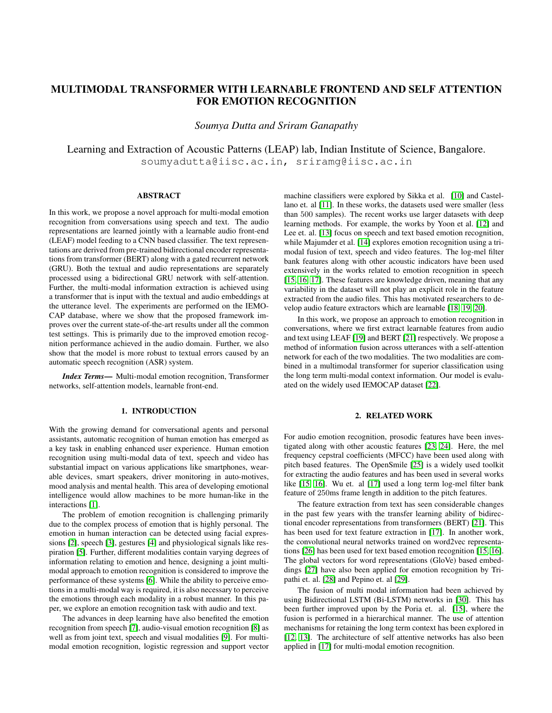# MULTIMODAL TRANSFORMER WITH LEARNABLE FRONTEND AND SELF ATTENTION FOR EMOTION RECOGNITION

*Soumya Dutta and Sriram Ganapathy*

Learning and Extraction of Acoustic Patterns (LEAP) lab, Indian Institute of Science, Bangalore. soumyadutta@iisc.ac.in, sriramg@iisc.ac.in

## ABSTRACT

In this work, we propose a novel approach for multi-modal emotion recognition from conversations using speech and text. The audio representations are learned jointly with a learnable audio front-end (LEAF) model feeding to a CNN based classifier. The text representations are derived from pre-trained bidirectional encoder representations from transformer (BERT) along with a gated recurrent network (GRU). Both the textual and audio representations are separately processed using a bidirectional GRU network with self-attention. Further, the multi-modal information extraction is achieved using a transformer that is input with the textual and audio embeddings at the utterance level. The experiments are performed on the IEMO-CAP database, where we show that the proposed framework improves over the current state-of-the-art results under all the common test settings. This is primarily due to the improved emotion recognition performance achieved in the audio domain. Further, we also show that the model is more robust to textual errors caused by an automatic speech recognition (ASR) system.

*Index Terms*— Multi-modal emotion recognition, Transformer networks, self-attention models, learnable front-end.

### 1. INTRODUCTION

With the growing demand for conversational agents and personal assistants, automatic recognition of human emotion has emerged as a key task in enabling enhanced user experience. Human emotion recognition using multi-modal data of text, speech and video has substantial impact on various applications like smartphones, wearable devices, smart speakers, driver monitoring in auto-motives, mood analysis and mental health. This area of developing emotional intelligence would allow machines to be more human-like in the interactions [\[1\]](#page-3-0).

The problem of emotion recognition is challenging primarily due to the complex process of emotion that is highly personal. The emotion in human interaction can be detected using facial expressions [\[2\]](#page-3-1), speech [\[3\]](#page-3-2), gestures [\[4\]](#page-3-3) and physiological signals like respiration [\[5\]](#page-4-0). Further, different modalities contain varying degrees of information relating to emotion and hence, designing a joint multimodal approach to emotion recognition is considered to improve the performance of these systems [\[6\]](#page-4-1). While the ability to perceive emotions in a multi-modal way is required, it is also necessary to perceive the emotions through each modality in a robust manner. In this paper, we explore an emotion recognition task with audio and text.

The advances in deep learning have also benefited the emotion recognition from speech [\[7\]](#page-4-2), audio-visual emotion recognition [\[8\]](#page-4-3) as well as from joint text, speech and visual modalities [\[9\]](#page-4-4). For multimodal emotion recognition, logistic regression and support vector machine classifiers were explored by Sikka et al. [\[10\]](#page-4-5) and Castellano et. al [\[11\]](#page-4-6). In these works, the datasets used were smaller (less than 500 samples). The recent works use larger datasets with deep learning methods. For example, the works by Yoon et al. [\[12\]](#page-4-7) and Lee et. al. [\[13\]](#page-4-8) focus on speech and text based emotion recognition, while Majumder et al. [\[14\]](#page-4-9) explores emotion recognition using a trimodal fusion of text, speech and video features. The log-mel filter bank features along with other acoustic indicators have been used extensively in the works related to emotion recognition in speech [\[15,](#page-4-10) [16,](#page-4-11) [17\]](#page-4-12). These features are knowledge driven, meaning that any variability in the dataset will not play an explicit role in the feature extracted from the audio files. This has motivated researchers to develop audio feature extractors which are learnable [\[18,](#page-4-13) [19,](#page-4-14) [20\]](#page-4-15).

In this work, we propose an approach to emotion recognition in conversations, where we first extract learnable features from audio and text using LEAF [\[19\]](#page-4-14) and BERT [\[21\]](#page-4-16) respectively. We propose a method of information fusion across utterances with a self-attention network for each of the two modalities. The two modalities are combined in a multimodal transformer for superior classification using the long term multi-modal context information. Our model is evaluated on the widely used IEMOCAP dataset [\[22\]](#page-4-17).

## 2. RELATED WORK

For audio emotion recognition, prosodic features have been investigated along with other acoustic features [\[23,](#page-4-18) [24\]](#page-4-19). Here, the mel frequency cepstral coefficients (MFCC) have been used along with pitch based features. The OpenSmile [\[25\]](#page-4-20) is a widely used toolkit for extracting the audio features and has been used in several works like [\[15,](#page-4-10) [16\]](#page-4-11). Wu et. al [\[17\]](#page-4-12) used a long term log-mel filter bank feature of 250ms frame length in addition to the pitch features.

The feature extraction from text has seen considerable changes in the past few years with the transfer learning ability of bidirectional encoder representations from transformers (BERT) [\[21\]](#page-4-16). This has been used for text feature extraction in [\[17\]](#page-4-12). In another work, the convolutional neural networks trained on word2vec representations [\[26\]](#page-4-21) has been used for text based emotion recognition [\[15,](#page-4-10) [16\]](#page-4-11). The global vectors for word representations (GloVe) based embeddings [\[27\]](#page-4-22) have also been applied for emotion recognition by Tripathi et. al. [\[28\]](#page-4-23) and Pepino et. al [\[29\]](#page-4-24).

The fusion of multi modal information had been achieved by using Bidirectional LSTM (Bi-LSTM) networks in [\[30\]](#page-4-25). This has been further improved upon by the Poria et. al. [\[15\]](#page-4-10), where the fusion is performed in a hierarchical manner. The use of attention mechanisms for retaining the long term context has been explored in [\[12,](#page-4-7) [13\]](#page-4-8). The architecture of self attentive networks has also been applied in [\[17\]](#page-4-12) for multi-modal emotion recognition.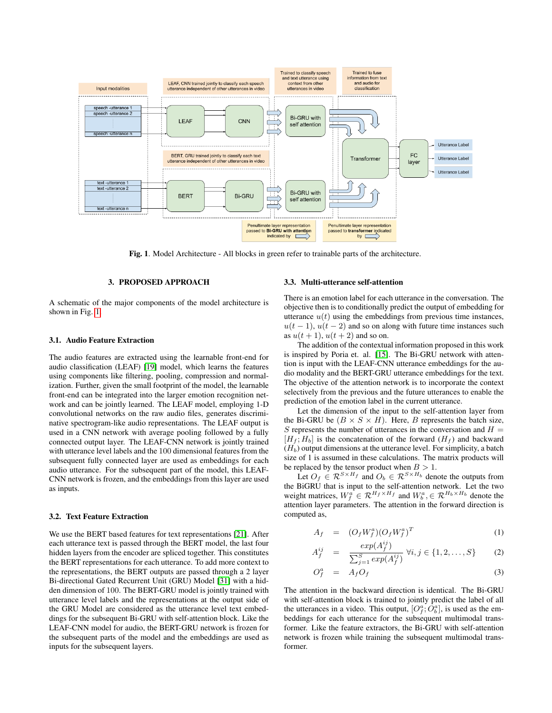

<span id="page-1-0"></span>Fig. 1. Model Architecture - All blocks in green refer to trainable parts of the architecture.

### 3. PROPOSED APPROACH

A schematic of the major components of the model architecture is shown in Fig. [1.](#page-1-0)

### 3.1. Audio Feature Extraction

The audio features are extracted using the learnable front-end for audio classification (LEAF) [\[19\]](#page-4-14) model, which learns the features using components like filtering, pooling, compression and normalization. Further, given the small footprint of the model, the learnable front-end can be integrated into the larger emotion recognition network and can be jointly learned. The LEAF model, employing 1-D convolutional networks on the raw audio files, generates discriminative spectrogram-like audio representations. The LEAF output is used in a CNN network with average pooling followed by a fully connected output layer. The LEAF-CNN network is jointly trained with utterance level labels and the 100 dimensional features from the subsequent fully connected layer are used as embeddings for each audio utterance. For the subsequent part of the model, this LEAF-CNN network is frozen, and the embeddings from this layer are used as inputs.

#### 3.2. Text Feature Extraction

We use the BERT based features for text representations [\[21\]](#page-4-16). After each utterance text is passed through the BERT model, the last four hidden layers from the encoder are spliced together. This constitutes the BERT representations for each utterance. To add more context to the representations, the BERT outputs are passed through a 2 layer Bi-directional Gated Recurrent Unit (GRU) Model [\[31\]](#page-4-26) with a hidden dimension of 100. The BERT-GRU model is jointly trained with utterance level labels and the representations at the output side of the GRU Model are considered as the utterance level text embeddings for the subsequent Bi-GRU with self-attention block. Like the LEAF-CNN model for audio, the BERT-GRU network is frozen for the subsequent parts of the model and the embeddings are used as inputs for the subsequent layers.

#### 3.3. Multi-utterance self-attention

There is an emotion label for each utterance in the conversation. The objective then is to conditionally predict the output of embedding for utterance  $u(t)$  using the embeddings from previous time instances,  $u(t-1)$ ,  $u(t-2)$  and so on along with future time instances such as  $u(t+1)$ ,  $u(t+2)$  and so on.

The addition of the contextual information proposed in this work is inspired by Poria et. al. [\[15\]](#page-4-10). The Bi-GRU network with attention is input with the LEAF-CNN utterance embeddings for the audio modality and the BERT-GRU utterance embeddings for the text. The objective of the attention network is to incorporate the context selectively from the previous and the future utterances to enable the prediction of the emotion label in the current utterance.

Let the dimension of the input to the self-attention layer from the Bi-GRU be  $(B \times S \times H)$ . Here, B represents the batch size, S represents the number of utterances in the conversation and  $H =$  $[H_f; H_b]$  is the concatenation of the forward  $(H_f)$  and backward  $(H_b)$  output dimensions at the utterance level. For simplicity, a batch size of 1 is assumed in these calculations. The matrix products will be replaced by the tensor product when  $B > 1$ .

Let  $O_f \in \mathcal{R}^{S \times H_f}$  and  $O_b \in \mathcal{R}^{S \times H_b}$  denote the outputs from the BiGRU that is input to the self-attention network. Let the two weight matrices,  $W_f^a \in \mathcal{R}^{H_f \times H_f}$  and  $W_b^a \in \mathcal{R}^{H_b \times H_b}$  denote the attention layer parameters. The attention in the forward direction is computed as,

$$
A_f = (O_f W_f^a)(O_f W_f^a)^T \tag{1}
$$

$$
A_f^{ij} = \frac{exp(A_f^{ij})}{\sum_{j=1}^S exp(A_f^{ij})} \ \forall i, j \in \{1, 2, ..., S\}
$$
 (2)

$$
O_f^a = A_f O_f \tag{3}
$$

The attention in the backward direction is identical. The Bi-GRU with self-attention block is trained to jointly predict the label of all the utterances in a video. This output,  $[O_f^a; O_b^a]$ , is used as the embeddings for each utterance for the subsequent multimodal transformer. Like the feature extractors, the Bi-GRU with self-attention network is frozen while training the subsequent multimodal transformer.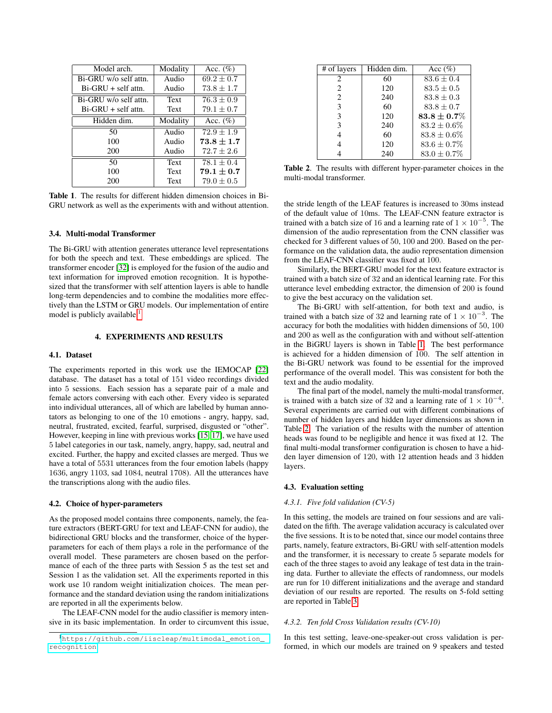| Model arch.           | Modality    | Acc. $(\%)$    |
|-----------------------|-------------|----------------|
| Bi-GRU w/o self attn. | Audio       | $69.2 \pm 0.7$ |
| $Bi-GRU + self$ attn. | Audio       | $73.8 \pm 1.7$ |
| Bi-GRU w/o self attn. | Text        | $76.3 \pm 0.9$ |
| $Bi-GRU + self$ attn. | Text        | $79.1 \pm 0.7$ |
| Hidden dim.           | Modality    | Acc. $(\%)$    |
| 50                    | Audio       | $72.9 \pm 1.9$ |
| 100                   | Audio       | $73.8 \pm 1.7$ |
| 200                   | Audio       | $72.7 \pm 2.6$ |
| 50                    | Text        | $78.1 \pm 0.4$ |
| 100                   | Text        | $79.1 \pm 0.7$ |
| 200                   | <b>Text</b> | $79.0 \pm 0.5$ |

<span id="page-2-1"></span>Table 1. The results for different hidden dimension choices in Bi-GRU network as well as the experiments with and without attention.

### 3.4. Multi-modal Transformer

The Bi-GRU with attention generates utterance level representations for both the speech and text. These embeddings are spliced. The transformer encoder [\[32\]](#page-4-27) is employed for the fusion of the audio and text information for improved emotion recognition. It is hypothesized that the transformer with self attention layers is able to handle long-term dependencies and to combine the modalities more effectively than the LSTM or GRU models. Our implementation of entire model is publicly available.<sup>[1](#page-2-0)</sup>

### 4. EXPERIMENTS AND RESULTS

### 4.1. Dataset

The experiments reported in this work use the IEMOCAP [\[22\]](#page-4-17) database. The dataset has a total of 151 video recordings divided into 5 sessions. Each session has a separate pair of a male and female actors conversing with each other. Every video is separated into individual utterances, all of which are labelled by human annotators as belonging to one of the 10 emotions - angry, happy, sad, neutral, frustrated, excited, fearful, surprised, disgusted or "other". However, keeping in line with previous works [\[15,](#page-4-10) [17\]](#page-4-12), we have used 5 label categories in our task, namely, angry, happy, sad, neutral and excited. Further, the happy and excited classes are merged. Thus we have a total of 5531 utterances from the four emotion labels (happy 1636, angry 1103, sad 1084, neutral 1708). All the utterances have the transcriptions along with the audio files.

## 4.2. Choice of hyper-parameters

As the proposed model contains three components, namely, the feature extractors (BERT-GRU for text and LEAF-CNN for audio), the bidirectional GRU blocks and the transformer, choice of the hyperparameters for each of them plays a role in the performance of the overall model. These parameters are chosen based on the performance of each of the three parts with Session 5 as the test set and Session 1 as the validation set. All the experiments reported in this work use 10 random weight initialization choices. The mean performance and the standard deviation using the random initializations are reported in all the experiments below.

The LEAF-CNN model for the audio classifier is memory intensive in its basic implementation. In order to circumvent this issue,

| # of layers                 | Hidden dim. | Acc $(\%)$        |
|-----------------------------|-------------|-------------------|
| $\mathcal{D}_{\mathcal{L}}$ | 60          | $83.6 \pm 0.4$    |
| 2                           | 120         | $83.5 + 0.5$      |
| $\mathfrak{D}$              | 240         | $83.8 \pm 0.3$    |
| 3                           | 60          | $83.8 + 0.7$      |
| 3                           | 120         | $83.8 \pm 0.7 \%$ |
| 3                           | 240         | $83.2 + 0.6\%$    |
|                             | 60          | $83.8 \pm 0.6\%$  |
|                             | 120         | $83.6 \pm 0.7\%$  |
|                             | 240         | $83.0 \pm 0.7\%$  |

<span id="page-2-2"></span>Table 2. The results with different hyper-parameter choices in the multi-modal transformer.

the stride length of the LEAF features is increased to 30ms instead of the default value of 10ms. The LEAF-CNN feature extractor is trained with a batch size of 16 and a learning rate of  $1 \times 10^{-5}$ . The dimension of the audio representation from the CNN classifier was checked for 3 different values of 50, 100 and 200. Based on the performance on the validation data, the audio representation dimension from the LEAF-CNN classifier was fixed at 100.

Similarly, the BERT-GRU model for the text feature extractor is trained with a batch size of 32 and an identical learning rate. For this utterance level embedding extractor, the dimension of 200 is found to give the best accuracy on the validation set.

The Bi-GRU with self-attention, for both text and audio, is trained with a batch size of 32 and learning rate of  $1 \times 10^{-3}$ . The accuracy for both the modalities with hidden dimensions of 50, 100 and 200 as well as the configuration with and without self-attention in the BiGRU layers is shown in Table [1.](#page-2-1) The best performance is achieved for a hidden dimension of 100. The self attention in the Bi-GRU network was found to be essential for the improved performance of the overall model. This was consistent for both the text and the audio modality.

The final part of the model, namely the multi-modal transformer, is trained with a batch size of 32 and a learning rate of  $1 \times 10^{-4}$ . Several experiments are carried out with different combinations of number of hidden layers and hidden layer dimensions as shown in Table [2.](#page-2-2) The variation of the results with the number of attention heads was found to be negligible and hence it was fixed at 12. The final multi-modal transformer configuration is chosen to have a hidden layer dimension of 120, with 12 attention heads and 3 hidden layers.

#### 4.3. Evaluation setting

#### *4.3.1. Five fold validation (CV-5)*

In this setting, the models are trained on four sessions and are validated on the fifth. The average validation accuracy is calculated over the five sessions. It is to be noted that, since our model contains three parts, namely, feature extractors, Bi-GRU with self-attention models and the transformer, it is necessary to create 5 separate models for each of the three stages to avoid any leakage of test data in the training data. Further to alleviate the effects of randomness, our models are run for 10 different initializations and the average and standard deviation of our results are reported. The results on 5-fold setting are reported in Table [3.](#page-3-4)

## *4.3.2. Ten fold Cross Validation results (CV-10)*

In this test setting, leave-one-speaker-out cross validation is performed, in which our models are trained on 9 speakers and tested

<span id="page-2-0"></span><sup>1</sup>[https://github.com/iiscleap/multimodal\\_emotion\\_](https://github.com/iiscleap/multimodal_emotion_recognition) [recognition](https://github.com/iiscleap/multimodal_emotion_recognition)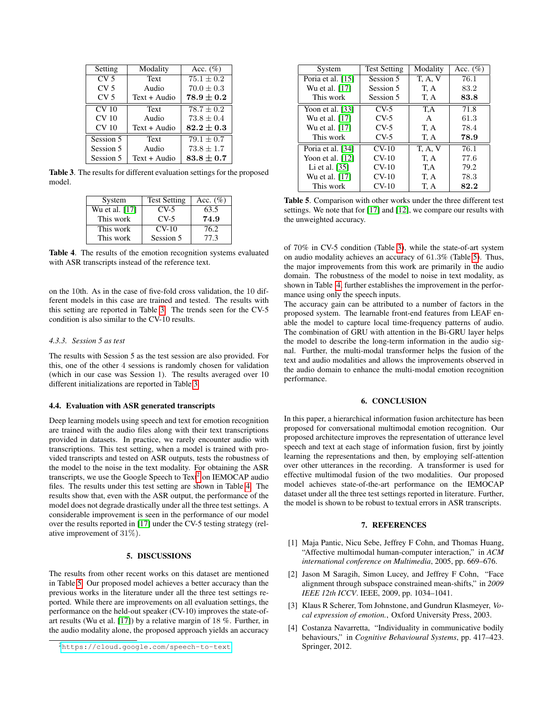| Setting          | Modality     | Acc. $(\%)$    |
|------------------|--------------|----------------|
| CV <sub>5</sub>  | Text         | $75.1 \pm 0.2$ |
| CV <sub>5</sub>  | Audio        | $70.0 \pm 0.3$ |
| CV <sub>5</sub>  | Text + Audio | $78.9 \pm 0.2$ |
| CV <sub>10</sub> | <b>Text</b>  | $78.7 + 0.2$   |
| CV <sub>10</sub> | Audio        | $73.8 \pm 0.4$ |
| CV <sub>10</sub> | Text + Audio | $82.2 \pm 0.3$ |
| Session 5        | <b>Text</b>  | $79.1 \pm 0.7$ |
| Session 5        | Audio        | $73.8 \pm 1.7$ |
| Session 5        | Text + Audio | $83.8 \pm 0.7$ |

Table 3. The results for different evaluation settings for the proposed model.

<span id="page-3-4"></span>

| System         | <b>Test Setting</b> | Acc. $(\%)$ |
|----------------|---------------------|-------------|
| Wu et al. [17] | $CV-5$              | 63.5        |
| This work      | $CV-5$              | 74.9        |
| This work      | $CV-10$             | 76.2        |
| This work      | Session 5           | 77.3        |

<span id="page-3-6"></span>Table 4. The results of the emotion recognition systems evaluated with ASR transcripts instead of the reference text.

on the 10th. As in the case of five-fold cross validation, the 10 different models in this case are trained and tested. The results with this setting are reported in Table [3.](#page-3-4) The trends seen for the CV-5 condition is also similar to the CV-10 results.

## *4.3.3. Session 5 as test*

The results with Session 5 as the test session are also provided. For this, one of the other 4 sessions is randomly chosen for validation (which in our case was Session 1). The results averaged over 10 different initializations are reported in Table [3.](#page-3-4)

#### 4.4. Evaluation with ASR generated transcripts

Deep learning models using speech and text for emotion recognition are trained with the audio files along with their text transcriptions provided in datasets. In practice, we rarely encounter audio with transcriptions. This test setting, when a model is trained with provided transcripts and tested on ASR outputs, tests the robustness of the model to the noise in the text modality. For obtaining the ASR transcripts, we use the Google Speech to  $Text^2$  $Text^2$  on IEMOCAP audio files. The results under this test setting are shown in Table [4.](#page-3-6) The results show that, even with the ASR output, the performance of the model does not degrade drastically under all the three test settings. A considerable improvement is seen in the performance of our model over the results reported in [\[17\]](#page-4-12) under the CV-5 testing strategy (relative improvement of 31%).

### 5. DISCUSSIONS

The results from other recent works on this dataset are mentioned in Table [5.](#page-3-7) Our proposed model achieves a better accuracy than the previous works in the literature under all the three test settings reported. While there are improvements on all evaluation settings, the performance on the held-out speaker (CV-10) improves the state-ofart results (Wu et al. [\[17\]](#page-4-12)) by a relative margin of 18 %. Further, in the audio modality alone, the proposed approach yields an accuracy

| System             | <b>Test Setting</b> | Modality     | Acc. $(\%)$ |
|--------------------|---------------------|--------------|-------------|
| Poria et al. [15]  | Session 5           | <b>T.A.V</b> | 76.1        |
| Wu et al. [17]     | Session 5           | T, A         | 83.2        |
| This work          | Session 5           | T, A         | 83.8        |
| Yoon et al. $[33]$ | $CV-5$              | T,A          | 71.8        |
| Wu et al. [17]     | $CV-5$              | A            | 61.3        |
| Wu et al. [17]     | $CV-5$              | T, A         | 78.4        |
| This work          | $CV-5$              | T, A         | 78.9        |
| Poria et al. [34]  | $CV-10$             | <b>T.A.V</b> | 76.1        |
| Yoon et al. $[12]$ | $CV-10$             | T, A         | 77.6        |
| Li et al. [35]     | $CV-10$             | T,A          | 79.2        |
| Wu et al. [17]     | $CV-10$             | T, A         | 78.3        |
| This work          | $CV-10$             | T, A         | 82.2        |

<span id="page-3-7"></span>Table 5. Comparison with other works under the three different test settings. We note that for [\[17\]](#page-4-12) and [\[12\]](#page-4-7), we compare our results with the unweighted accuracy.

of 70% in CV-5 condition (Table [3\)](#page-3-4), while the state-of-art system on audio modality achieves an accuracy of 61.3% (Table [5\)](#page-3-7). Thus, the major improvements from this work are primarily in the audio domain. The robustness of the model to noise in text modality, as shown in Table [4,](#page-3-6) further establishes the improvement in the performance using only the speech inputs.

The accuracy gain can be attributed to a number of factors in the proposed system. The learnable front-end features from LEAF enable the model to capture local time-frequency patterns of audio. The combination of GRU with attention in the Bi-GRU layer helps the model to describe the long-term information in the audio signal. Further, the multi-modal transformer helps the fusion of the text and audio modalities and allows the improvements observed in the audio domain to enhance the multi-modal emotion recognition performance.

## 6. CONCLUSION

In this paper, a hierarchical information fusion architecture has been proposed for conversational multimodal emotion recognition. Our proposed architecture improves the representation of utterance level speech and text at each stage of information fusion, first by jointly learning the representations and then, by employing self-attention over other utterances in the recording. A transformer is used for effective multimodal fusion of the two modalities. Our proposed model achieves state-of-the-art performance on the IEMOCAP dataset under all the three test settings reported in literature. Further, the model is shown to be robust to textual errors in ASR transcripts.

#### 7. REFERENCES

- <span id="page-3-0"></span>[1] Maja Pantic, Nicu Sebe, Jeffrey F Cohn, and Thomas Huang, "Affective multimodal human-computer interaction," in *ACM international conference on Multimedia*, 2005, pp. 669–676.
- <span id="page-3-1"></span>[2] Jason M Saragih, Simon Lucey, and Jeffrey F Cohn, "Face alignment through subspace constrained mean-shifts," in *2009 IEEE 12th ICCV*. IEEE, 2009, pp. 1034–1041.
- <span id="page-3-2"></span>[3] Klaus R Scherer, Tom Johnstone, and Gundrun Klasmeyer, *Vocal expression of emotion.*, Oxford University Press, 2003.
- <span id="page-3-3"></span>[4] Costanza Navarretta, "Individuality in communicative bodily behaviours," in *Cognitive Behavioural Systems*, pp. 417–423. Springer, 2012.

<span id="page-3-5"></span><sup>2</sup><https://cloud.google.com/speech-to-text>